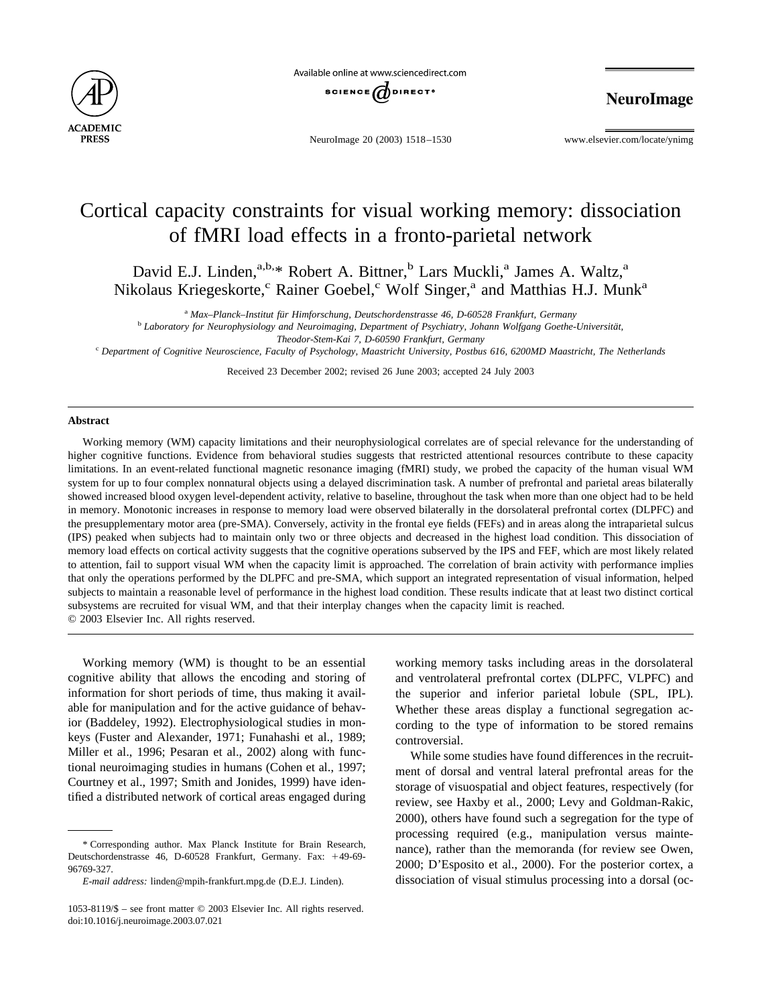

Available online at www.sciencedirect.com SCIENCE  $\overline{d}$  direct<sup>+</sup>

NeuroImage 20 (2003) 1518–1530 www.elsevier.com/locate/ynimg

NeuroImage

# Cortical capacity constraints for visual working memory: dissociation of fMRI load effects in a fronto-parietal network

David E.J. Linden,<sup>a,b,\*</sup> Robert A. Bittner,<sup>b</sup> Lars Muckli,<sup>a</sup> James A. Waltz,<sup>a</sup> Nikolaus Kriegeskorte,<sup>c</sup> Rainer Goebel,<sup>c</sup> Wolf Singer,<sup>a</sup> and Matthias H.J. Munk<sup>a</sup>

<sup>a</sup> *Max–Planck–Institut fu¨r Himforschung, Deutschordenstrasse 46, D-60528 Frankfurt, Germany*

<sup>b</sup> Laboratory for Neurophysiology and Neuroimaging, Department of Psychiatry, Johann Wolfgang Goethe-Universität,

*Theodor-Stem-Kai 7, D-60590 Frankfurt, Germany*

<sup>c</sup> *Department of Cognitive Neuroscience, Faculty of Psychology, Maastricht University, Postbus 616, 6200MD Maastricht, The Netherlands*

Received 23 December 2002; revised 26 June 2003; accepted 24 July 2003

#### **Abstract**

Working memory (WM) capacity limitations and their neurophysiological correlates are of special relevance for the understanding of higher cognitive functions. Evidence from behavioral studies suggests that restricted attentional resources contribute to these capacity limitations. In an event-related functional magnetic resonance imaging (fMRI) study, we probed the capacity of the human visual WM system for up to four complex nonnatural objects using a delayed discrimination task. A number of prefrontal and parietal areas bilaterally showed increased blood oxygen level-dependent activity, relative to baseline, throughout the task when more than one object had to be held in memory. Monotonic increases in response to memory load were observed bilaterally in the dorsolateral prefrontal cortex (DLPFC) and the presupplementary motor area (pre-SMA). Conversely, activity in the frontal eye fields (FEFs) and in areas along the intraparietal sulcus (IPS) peaked when subjects had to maintain only two or three objects and decreased in the highest load condition. This dissociation of memory load effects on cortical activity suggests that the cognitive operations subserved by the IPS and FEF, which are most likely related to attention, fail to support visual WM when the capacity limit is approached. The correlation of brain activity with performance implies that only the operations performed by the DLPFC and pre-SMA, which support an integrated representation of visual information, helped subjects to maintain a reasonable level of performance in the highest load condition. These results indicate that at least two distinct cortical subsystems are recruited for visual WM, and that their interplay changes when the capacity limit is reached. © 2003 Elsevier Inc. All rights reserved.

Working memory (WM) is thought to be an essential cognitive ability that allows the encoding and storing of information for short periods of time, thus making it available for manipulation and for the active guidance of behavior [\(Baddeley, 1992\).](#page-10-0) Electrophysiological studies in monkeys [\(Fuster and Alexander, 1971; Funahashi et al., 1989;](#page-11-0) [Miller et al., 1996; Pesaran et al., 2002\)](#page-11-0) along with functional neuroimaging studies in humans [\(Cohen et al., 1997;](#page-11-0) [Courtney et al., 1997; Smith and Jonides, 1999\)](#page-11-0) have identified a distributed network of cortical areas engaged during

working memory tasks including areas in the dorsolateral and ventrolateral prefrontal cortex (DLPFC, VLPFC) and the superior and inferior parietal lobule (SPL, IPL). Whether these areas display a functional segregation according to the type of information to be stored remains controversial.

While some studies have found differences in the recruitment of dorsal and ventral lateral prefrontal areas for the storage of visuospatial and object features, respectively (for review, see [Haxby et al., 2000; Levy and Goldman-Rakic,](#page-11-0) [2000\),](#page-11-0) others have found such a segregation for the type of processing required (e.g., manipulation versus maintenance), rather than the memoranda (for review see [Owen,](#page-11-0) [2000; D'Esposito et al., 2000\).](#page-11-0) For the posterior cortex, a dissociation of visual stimulus processing into a dorsal (oc-

<sup>\*</sup> Corresponding author. Max Planck Institute for Brain Research, Deutschordenstrasse 46, D-60528 Frankfurt, Germany. Fax: 49-69- 96769-327.

*E-mail address:* linden@mpih-frankfurt.mpg.de (D.E.J. Linden).

<sup>1053-8119/\$ –</sup> see front matter © 2003 Elsevier Inc. All rights reserved. doi:10.1016/j.neuroimage.2003.07.021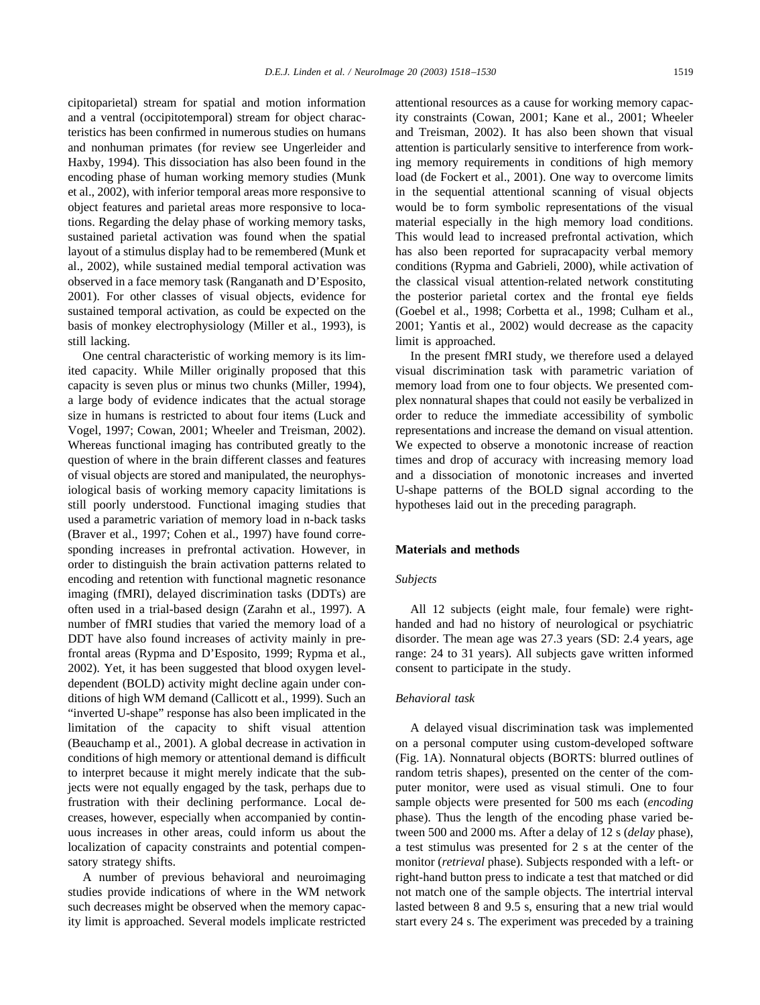cipitoparietal) stream for spatial and motion information and a ventral (occipitotemporal) stream for object characteristics has been confirmed in numerous studies on humans and nonhuman primates (for review see [Ungerleider and](#page-12-0) [Haxby, 1994\).](#page-12-0) This dissociation has also been found in the encoding phase of human working memory studies [\(Munk](#page-11-0) [et al., 2002\),](#page-11-0) with inferior temporal areas more responsive to object features and parietal areas more responsive to locations. Regarding the delay phase of working memory tasks, sustained parietal activation was found when the spatial layout of a stimulus display had to be remembered [\(Munk et](#page-11-0) [al., 2002\),](#page-11-0) while sustained medial temporal activation was observed in a face memory task [\(Ranganath and D'Esposito,](#page-11-0) [2001\).](#page-11-0) For other classes of visual objects, evidence for sustained temporal activation, as could be expected on the basis of monkey electrophysiology [\(Miller et al., 1993\),](#page-11-0) is still lacking.

One central characteristic of working memory is its limited capacity. While Miller originally proposed that this capacity is seven plus or minus two chunks (Miller, 1994), a large body of evidence indicates that the actual storage size in humans is restricted to about four items [\(Luck and](#page-11-0) [Vogel, 1997; Cowan, 2001; Wheeler and Treisman, 2002\).](#page-11-0) Whereas functional imaging has contributed greatly to the question of where in the brain different classes and features of visual objects are stored and manipulated, the neurophysiological basis of working memory capacity limitations is still poorly understood. Functional imaging studies that used a parametric variation of memory load in n-back tasks [\(Braver et al., 1997; Cohen et al., 1997\)](#page-10-0) have found corresponding increases in prefrontal activation. However, in order to distinguish the brain activation patterns related to encoding and retention with functional magnetic resonance imaging (fMRI), delayed discrimination tasks (DDTs) are often used in a trial-based design [\(Zarahn et al., 1997\).](#page-12-0) A number of fMRI studies that varied the memory load of a DDT have also found increases of activity mainly in prefrontal areas [\(Rypma and D'Esposito, 1999; Rypma et al.,](#page-11-0) [2002\).](#page-11-0) Yet, it has been suggested that blood oxygen leveldependent (BOLD) activity might decline again under conditions of high WM demand [\(Callicott et al., 1999\).](#page-11-0) Such an "inverted U-shape" response has also been implicated in the limitation of the capacity to shift visual attention [\(Beauchamp et al., 2001\).](#page-10-0) A global decrease in activation in conditions of high memory or attentional demand is difficult to interpret because it might merely indicate that the subjects were not equally engaged by the task, perhaps due to frustration with their declining performance. Local decreases, however, especially when accompanied by continuous increases in other areas, could inform us about the localization of capacity constraints and potential compensatory strategy shifts.

A number of previous behavioral and neuroimaging studies provide indications of where in the WM network such decreases might be observed when the memory capacity limit is approached. Several models implicate restricted attentional resources as a cause for working memory capacity constraints [\(Cowan, 2001; Kane et al., 2001; Wheeler](#page-11-0) [and Treisman, 2002\).](#page-11-0) It has also been shown that visual attention is particularly sensitive to interference from working memory requirements in conditions of high memory load [\(de Fockert et al., 2001\).](#page-11-0) One way to overcome limits in the sequential attentional scanning of visual objects would be to form symbolic representations of the visual material especially in the high memory load conditions. This would lead to increased prefrontal activation, which has also been reported for supracapacity verbal memory conditions [\(Rypma and Gabrieli, 2000\),](#page-11-0) while activation of the classical visual attention-related network constituting the posterior parietal cortex and the frontal eye fields [\(Goebel et al., 1998; Corbetta et al., 1998; Culham et al.,](#page-11-0) [2001; Yantis et al., 2002\)](#page-11-0) would decrease as the capacity limit is approached.

In the present fMRI study, we therefore used a delayed visual discrimination task with parametric variation of memory load from one to four objects. We presented complex nonnatural shapes that could not easily be verbalized in order to reduce the immediate accessibility of symbolic representations and increase the demand on visual attention. We expected to observe a monotonic increase of reaction times and drop of accuracy with increasing memory load and a dissociation of monotonic increases and inverted U-shape patterns of the BOLD signal according to the hypotheses laid out in the preceding paragraph.

## **Materials and methods**

#### *Subjects*

All 12 subjects (eight male, four female) were righthanded and had no history of neurological or psychiatric disorder. The mean age was 27.3 years (SD: 2.4 years, age range: 24 to 31 years). All subjects gave written informed consent to participate in the study.

# *Behavioral task*

A delayed visual discrimination task was implemented on a personal computer using custom-developed software [\(Fig. 1A\)](#page-2-0). Nonnatural objects (BORTS: blurred outlines of random tetris shapes), presented on the center of the computer monitor, were used as visual stimuli. One to four sample objects were presented for 500 ms each (*encoding* phase). Thus the length of the encoding phase varied between 500 and 2000 ms. After a delay of 12 s (*delay* phase), a test stimulus was presented for 2 s at the center of the monitor (*retrieval* phase). Subjects responded with a left- or right-hand button press to indicate a test that matched or did not match one of the sample objects. The intertrial interval lasted between 8 and 9.5 s, ensuring that a new trial would start every 24 s. The experiment was preceded by a training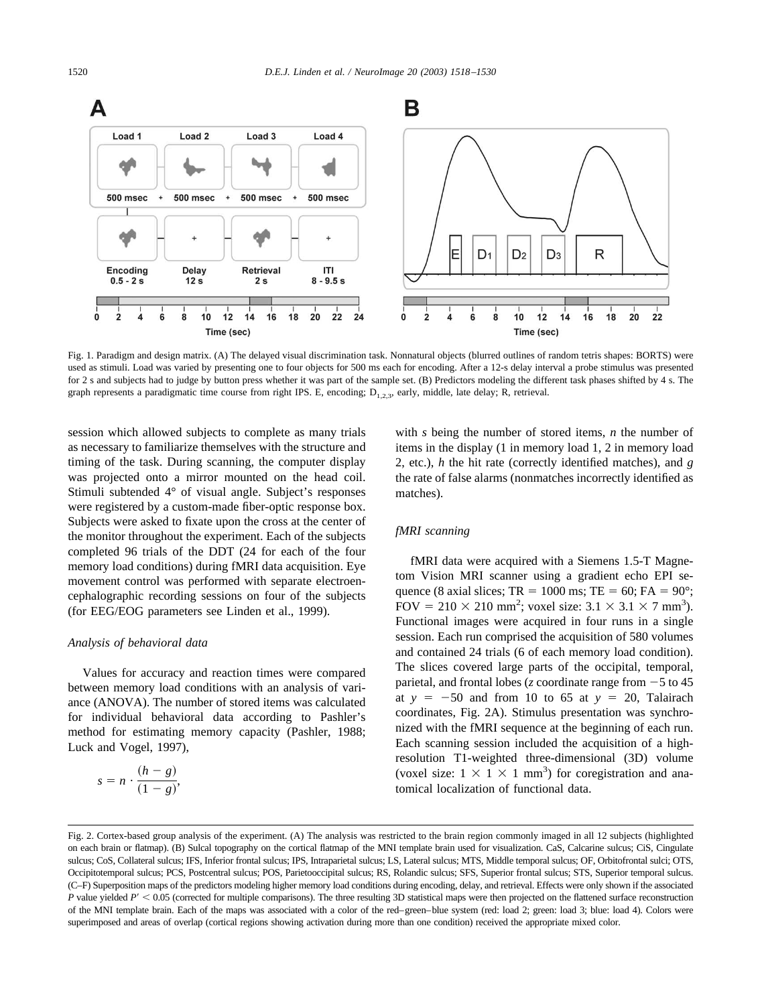<span id="page-2-0"></span>

Fig. 1. Paradigm and design matrix. (A) The delayed visual discrimination task. Nonnatural objects (blurred outlines of random tetris shapes: BORTS) were used as stimuli. Load was varied by presenting one to four objects for 500 ms each for encoding. After a 12-s delay interval a probe stimulus was presented for 2 s and subjects had to judge by button press whether it was part of the sample set. (B) Predictors modeling the different task phases shifted by 4 s. The graph represents a paradigmatic time course from right IPS. E, encoding;  $D_{1,2,3}$ , early, middle, late delay; R, retrieval.

session which allowed subjects to complete as many trials as necessary to familiarize themselves with the structure and timing of the task. During scanning, the computer display was projected onto a mirror mounted on the head coil. Stimuli subtended 4° of visual angle. Subject's responses were registered by a custom-made fiber-optic response box. Subjects were asked to fixate upon the cross at the center of the monitor throughout the experiment. Each of the subjects completed 96 trials of the DDT (24 for each of the four memory load conditions) during fMRI data acquisition. Eye movement control was performed with separate electroencephalographic recording sessions on four of the subjects (for EEG/EOG parameters see [Linden et al., 1999\).](#page-11-0)

# *Analysis of behavioral data*

Values for accuracy and reaction times were compared between memory load conditions with an analysis of variance (ANOVA). The number of stored items was calculated for individual behavioral data according to Pashler's method for estimating memory capacity [\(Pashler, 1988;](#page-11-0) [Luck and Vogel, 1997\),](#page-11-0)

$$
s = n \cdot \frac{(h - g)}{(1 - g)},
$$

with *s* being the number of stored items, *n* the number of items in the display (1 in memory load 1, 2 in memory load 2, etc.), *h* the hit rate (correctly identified matches), and *g* the rate of false alarms (nonmatches incorrectly identified as matches).

### *fMRI scanning*

fMRI data were acquired with a Siemens 1.5-T Magnetom Vision MRI scanner using a gradient echo EPI sequence (8 axial slices;  $TR = 1000$  ms;  $TE = 60$ ;  $FA = 90^{\circ}$ ; FOV = 210  $\times$  210 mm<sup>2</sup>; voxel size: 3.1  $\times$  3.1  $\times$  7 mm<sup>3</sup>). Functional images were acquired in four runs in a single session. Each run comprised the acquisition of 580 volumes and contained 24 trials (6 of each memory load condition). The slices covered large parts of the occipital, temporal, parietal, and frontal lobes ( $\zeta$  coordinate range from  $-5$  to 45 at  $y = -50$  and from 10 to 65 at  $y = 20$ , Talairach coordinates, Fig. 2A). Stimulus presentation was synchronized with the fMRI sequence at the beginning of each run. Each scanning session included the acquisition of a highresolution T1-weighted three-dimensional (3D) volume (voxel size:  $1 \times 1 \times 1$  mm<sup>3</sup>) for coregistration and anatomical localization of functional data.

Fig. 2. Cortex-based group analysis of the experiment. (A) The analysis was restricted to the brain region commonly imaged in all 12 subjects (highlighted on each brain or flatmap). (B) Sulcal topography on the cortical flatmap of the MNI template brain used for visualization. CaS, Calcarine sulcus; CiS, Cingulate sulcus; CoS, Collateral sulcus; IFS, Inferior frontal sulcus; IPS, Intraparietal sulcus; LS, Lateral sulcus; MTS, Middle temporal sulcus; OF, Orbitofrontal sulci; OTS, Occipitotemporal sulcus; PCS, Postcentral sulcus; POS, Parietooccipital sulcus; RS, Rolandic sulcus; SFS, Superior frontal sulcus; STS, Superior temporal sulcus. (C–F) Superposition maps of the predictors modeling higher memory load conditions during encoding, delay, and retrieval. Effects were only shown if the associated *P* value yielded  $P' < 0.05$  (corrected for multiple comparisons). The three resulting 3D statistical maps were then projected on the flattened surface reconstruction of the MNI template brain. Each of the maps was associated with a color of the red–green–blue system (red: load 2; green: load 3; blue: load 4). Colors were superimposed and areas of overlap (cortical regions showing activation during more than one condition) received the appropriate mixed color.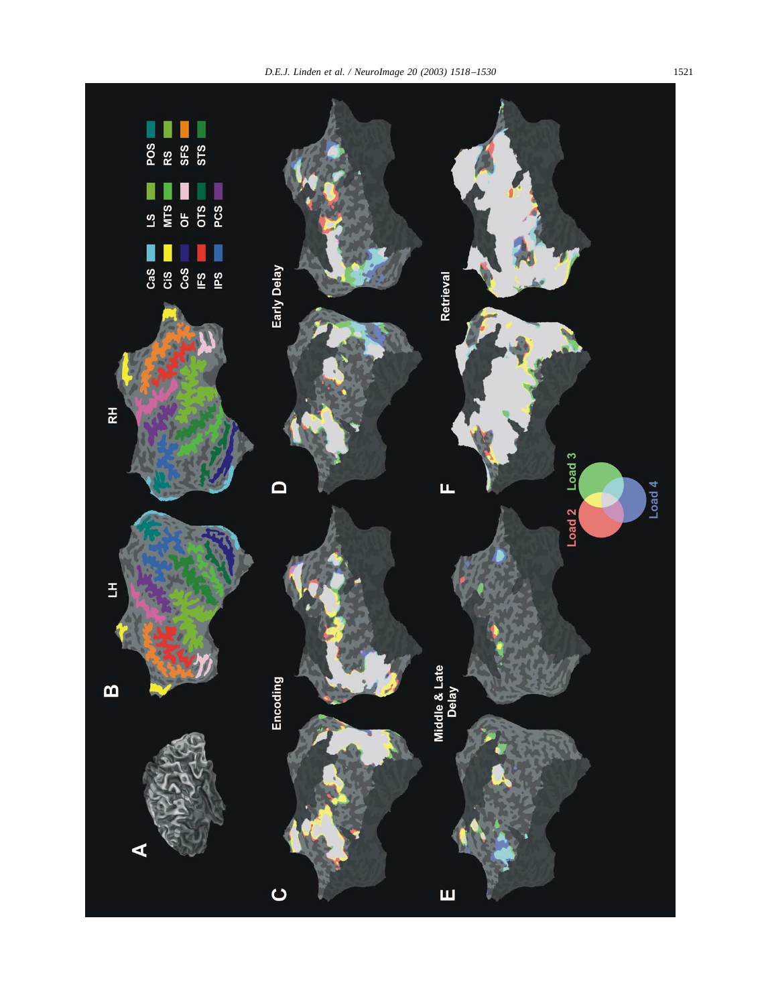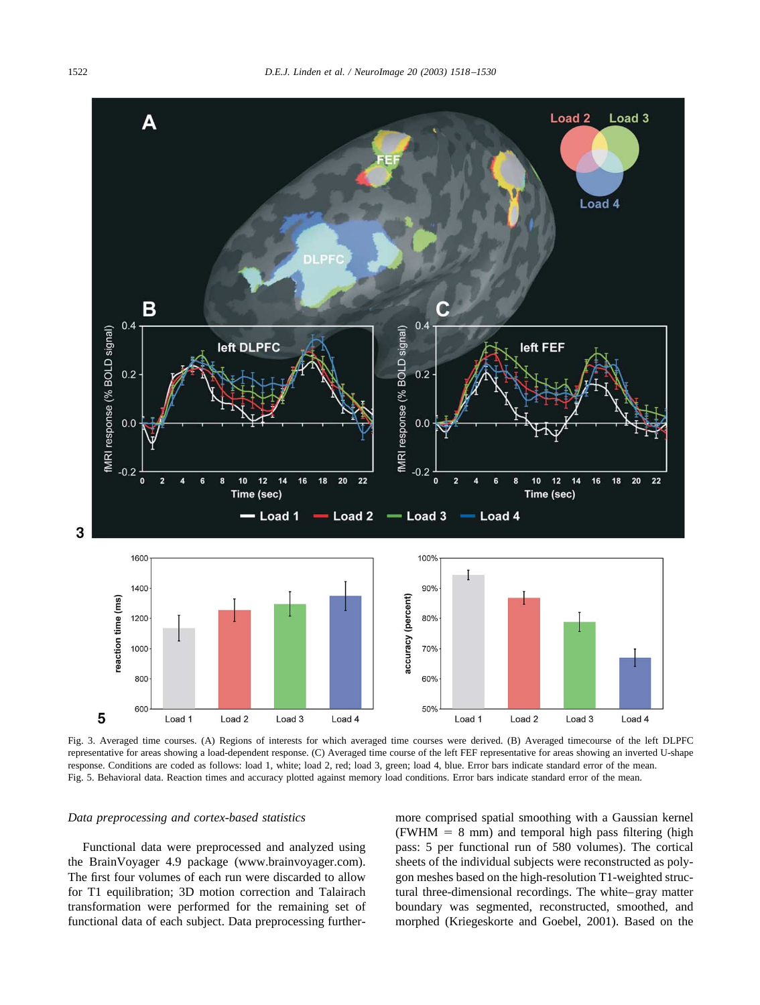<span id="page-4-0"></span>

Fig. 3. Averaged time courses. (A) Regions of interests for which averaged time courses were derived. (B) Averaged timecourse of the left DLPFC representative for areas showing a load-dependent response. (C) Averaged time course of the left FEF representative for areas showing an inverted U-shape response. Conditions are coded as follows: load 1, white; load 2, red; load 3, green; load 4, blue. Error bars indicate standard error of the mean. Fig. 5. Behavioral data. Reaction times and accuracy plotted against memory load conditions. Error bars indicate standard error of the mean.

# *Data preprocessing and cortex-based statistics*

Functional data were preprocessed and analyzed using the BrainVoyager 4.9 package [\(www.brainvoyager.com\)](www.brainvoyager.com). The first four volumes of each run were discarded to allow for T1 equilibration; 3D motion correction and Talairach transformation were performed for the remaining set of functional data of each subject. Data preprocessing furthermore comprised spatial smoothing with a Gaussian kernel  $(FWHM = 8$  mm) and temporal high pass filtering (high pass: 5 per functional run of 580 volumes). The cortical sheets of the individual subjects were reconstructed as polygon meshes based on the high-resolution T1-weighted structural three-dimensional recordings. The white–gray matter boundary was segmented, reconstructed, smoothed, and morphed [\(Kriegeskorte and Goebel, 2001\).](#page-11-0) Based on the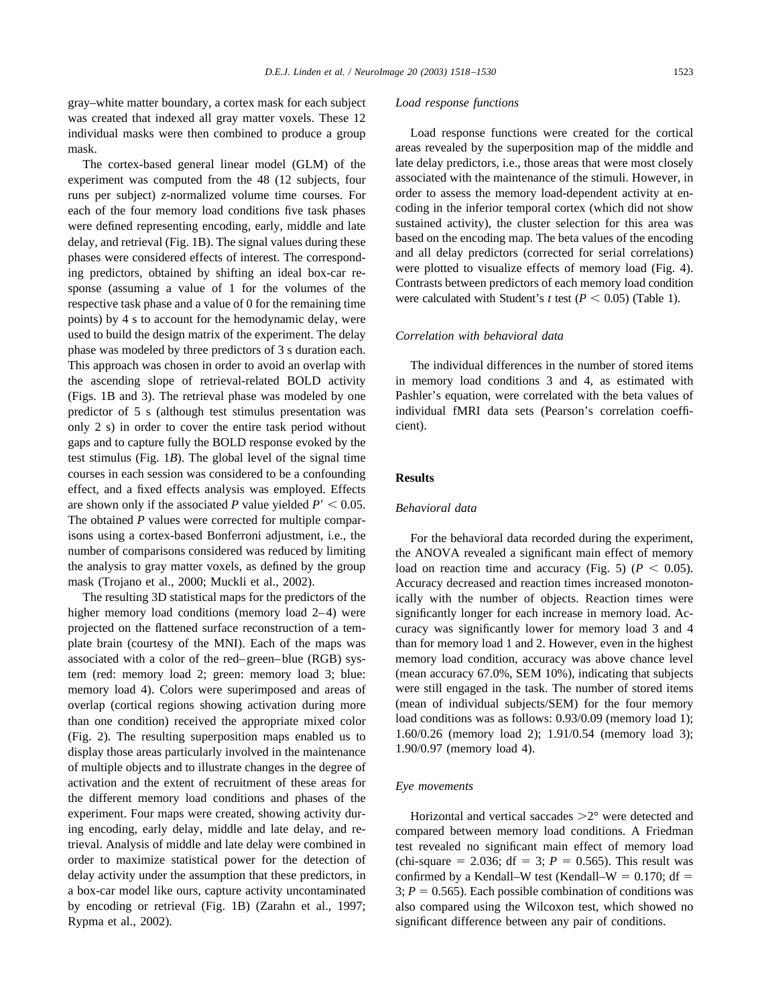gray–white matter boundary, a cortex mask for each subject was created that indexed all gray matter voxels. These 12 individual masks were then combined to produce a group mask.

The cortex-based general linear model (GLM) of the experiment was computed from the 48 (12 subjects, four runs per subject) *z*-normalized volume time courses. For each of the four memory load conditions five task phases were defined representing encoding, early, middle and late delay, and retrieval [\(Fig. 1B\)](#page-2-0). The signal values during these phases were considered effects of interest. The corresponding predictors, obtained by shifting an ideal box-car response (assuming a value of 1 for the volumes of the respective task phase and a value of 0 for the remaining time points) by 4 s to account for the hemodynamic delay, were used to build the design matrix of the experiment. The delay phase was modeled by three predictors of 3 s duration each. This approach was chosen in order to avoid an overlap with the ascending slope of retrieval-related BOLD activity [\(Figs. 1B](#page-2-0) and [3\)](#page-4-0). The retrieval phase was modeled by one predictor of 5 s (although test stimulus presentation was only 2 s) in order to cover the entire task period without gaps and to capture fully the BOLD response evoked by the test stimulus [\(Fig. 1](#page-2-0)*B*). The global level of the signal time courses in each session was considered to be a confounding effect, and a fixed effects analysis was employed. Effects are shown only if the associated *P* value yielded  $P' < 0.05$ . The obtained *P* values were corrected for multiple comparisons using a cortex-based Bonferroni adjustment, i.e., the number of comparisons considered was reduced by limiting the analysis to gray matter voxels, as defined by the group mask [\(Trojano et al., 2000; Muckli et al., 2002\).](#page-12-0)

The resulting 3D statistical maps for the predictors of the higher memory load conditions (memory load 2–4) were projected on the flattened surface reconstruction of a template brain (courtesy of the MNI). Each of the maps was associated with a color of the red–green–blue (RGB) system (red: memory load 2; green: memory load 3; blue: memory load 4). Colors were superimposed and areas of overlap (cortical regions showing activation during more than one condition) received the appropriate mixed color [\(Fig. 2\)](#page-2-0). The resulting superposition maps enabled us to display those areas particularly involved in the maintenance of multiple objects and to illustrate changes in the degree of activation and the extent of recruitment of these areas for the different memory load conditions and phases of the experiment. Four maps were created, showing activity during encoding, early delay, middle and late delay, and retrieval. Analysis of middle and late delay were combined in order to maximize statistical power for the detection of delay activity under the assumption that these predictors, in a box-car model like ours, capture activity uncontaminated by encoding or retrieval [\(Fig. 1B\)](#page-2-0) [\(Zarahn et al., 1997;](#page-12-0) [Rypma et al., 2002\).](#page-12-0)

#### *Load response functions*

Load response functions were created for the cortical areas revealed by the superposition map of the middle and late delay predictors, i.e., those areas that were most closely associated with the maintenance of the stimuli. However, in order to assess the memory load-dependent activity at encoding in the inferior temporal cortex (which did not show sustained activity), the cluster selection for this area was based on the encoding map. The beta values of the encoding and all delay predictors (corrected for serial correlations) were plotted to visualize effects of memory load [\(Fig. 4\)](#page-7-0). Contrasts between predictors of each memory load condition were calculated with Student's  $t$  test ( $P < 0.05$ ) [\(Table 1\)](#page-6-0).

## *Correlation with behavioral data*

The individual differences in the number of stored items in memory load conditions 3 and 4, as estimated with Pashler's equation, were correlated with the beta values of individual fMRI data sets (Pearson's correlation coefficient).

# **Results**

# *Behavioral data*

For the behavioral data recorded during the experiment, the ANOVA revealed a significant main effect of memory load on reaction time and accuracy [\(Fig. 5\)](#page-4-0) ( $P < 0.05$ ). Accuracy decreased and reaction times increased monotonically with the number of objects. Reaction times were significantly longer for each increase in memory load. Accuracy was significantly lower for memory load 3 and 4 than for memory load 1 and 2. However, even in the highest memory load condition, accuracy was above chance level (mean accuracy 67.0%, SEM 10%), indicating that subjects were still engaged in the task. The number of stored items (mean of individual subjects/SEM) for the four memory load conditions was as follows: 0.93/0.09 (memory load 1); 1.60/0.26 (memory load 2); 1.91/0.54 (memory load 3); 1.90/0.97 (memory load 4).

#### *Eye movements*

Horizontal and vertical saccades  $>2^\circ$  were detected and compared between memory load conditions. A Friedman test revealed no significant main effect of memory load (chi-square  $= 2.036$ ; df  $= 3$ ;  $P = 0.565$ ). This result was confirmed by a Kendall–W test (Kendall–W =  $0.170$ ; df =  $3; P = 0.565$ . Each possible combination of conditions was also compared using the Wilcoxon test, which showed no significant difference between any pair of conditions.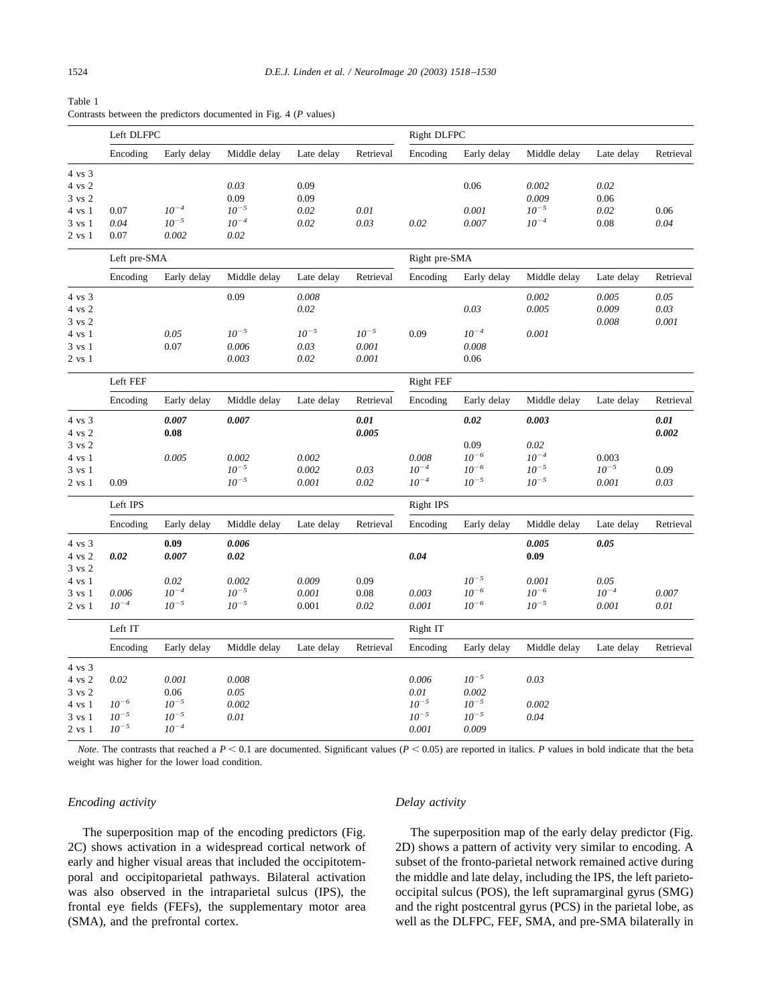<span id="page-6-0"></span>

| Table 1                                                          |  |  |  |  |
|------------------------------------------------------------------|--|--|--|--|
| Contrasts between the predictors documented in Fig. 4 (P values) |  |  |  |  |

|                   | Left DLFPC   |             |              |            |           | Right DLFPC   |             |              |            |           |
|-------------------|--------------|-------------|--------------|------------|-----------|---------------|-------------|--------------|------------|-----------|
|                   | Encoding     | Early delay | Middle delay | Late delay | Retrieval | Encoding      | Early delay | Middle delay | Late delay | Retrieval |
| 4 vs 3            |              |             |              |            |           |               |             |              |            |           |
| 4 vs 2            |              |             | 0.03         | 0.09       |           |               | 0.06        | 0.002        | 0.02       |           |
| 3 vs 2            |              |             | 0.09         | 0.09       |           |               |             | 0.009        | 0.06       |           |
| 4 vs 1            | 0.07         | $10^{-4}$   | $10^{-5}$    | 0.02       | 0.01      |               | 0.001       | $10^{-5}$    | 0.02       | 0.06      |
| 3 vs 1            | 0.04         | $10^{-5}$   | $10^{-4}$    | 0.02       | 0.03      | 0.02          | 0.007       | $10^{-4}$    | 0.08       | 0.04      |
| $2 \text{ vs } 1$ | 0.07         | 0.002       | 0.02         |            |           |               |             |              |            |           |
|                   | Left pre-SMA |             |              |            |           | Right pre-SMA |             |              |            |           |
|                   | Encoding     | Early delay | Middle delay | Late delay | Retrieval | Encoding      | Early delay | Middle delay | Late delay | Retrieval |
| 4 vs 3            |              |             | 0.09         | 0.008      |           |               |             | 0.002        | 0.005      | 0.05      |
| 4 vs 2            |              |             |              | $0.02\,$   |           |               | 0.03        | 0.005        | 0.009      | 0.03      |
| 3 vs 2            |              |             |              |            |           |               |             |              | 0.008      | 0.001     |
| 4 vs 1            |              | 0.05        | $10^{-5}$    | $10^{-5}$  | $10^{-5}$ | 0.09          | $10^{-4}$   | 0.001        |            |           |
| 3 vs 1            |              | 0.07        | 0.006        | 0.03       | 0.001     |               | 0.008       |              |            |           |
| 2 vs 1            |              |             | 0.003        | 0.02       | 0.001     |               | 0.06        |              |            |           |
|                   | Left FEF     |             |              |            |           | Right FEF     |             |              |            |           |
|                   | Encoding     | Early delay | Middle delay | Late delay | Retrieval | Encoding      | Early delay | Middle delay | Late delay | Retrieval |
| 4 vs 3            |              | 0.007       | 0.007        |            | 0.01      |               | 0.02        | 0.003        |            | 0.01      |
| 4 vs 2            |              | 0.08        |              |            | 0.005     |               |             |              |            | 0.002     |
| 3 vs 2            |              |             |              |            |           |               | 0.09        | 0.02         |            |           |
| 4 vs 1            |              | 0.005       | 0.002        | 0.002      |           | 0.008         | $10^{-6}$   | $10^{-4}$    | 0.003      |           |
| 3 vs 1            |              |             | $10^{-5}$    | 0.002      | 0.03      | $10^{-4}$     | $10^{-6}$   | $10^{-5}$    | $10^{-5}$  | 0.09      |
| 2 vs 1            | 0.09         |             | $10^{-5}$    | 0.001      | 0.02      | $10^{-4}$     | $10^{-5}$   | $10^{-5}$    | 0.001      | 0.03      |
|                   | Left IPS     |             |              |            |           | Right IPS     |             |              |            |           |
|                   | Encoding     | Early delay | Middle delay | Late delay | Retrieval | Encoding      | Early delay | Middle delay | Late delay | Retrieval |
| 4 vs 3            |              | 0.09        | 0.006        |            |           |               |             | 0.005        | 0.05       |           |
| 4 vs 2            | 0.02         | 0.007       | 0.02         |            |           | 0.04          |             | 0.09         |            |           |
| 3 vs 2            |              |             |              |            |           |               |             |              |            |           |
| 4 vs 1            |              | 0.02        | 0.002        | 0.009      | 0.09      |               | $10^{-5}$   | 0.001        | 0.05       |           |
| 3 vs 1            | 0.006        | $10^{-4}$   | $10^{-5}$    | 0.001      | 0.08      | 0.003         | $10^{-6}$   | $10^{-6}$    | $10^{-4}$  | 0.007     |
| $2 \text{ vs } 1$ | $10^{-4}$    | $10^{-5}$   | $10^{-5}$    | 0.001      | 0.02      | 0.001         | $10^{-6}$   | $10^{-5}$    | 0.001      | 0.01      |
|                   | Left IT      |             |              |            |           | Right IT      |             |              |            |           |
|                   | Encoding     | Early delay | Middle delay | Late delay | Retrieval | Encoding      | Early delay | Middle delay | Late delay | Retrieval |
| 4 vs 3            |              |             |              |            |           |               |             |              |            |           |
| 4 vs 2            | 0.02         | 0.001       | 0.008        |            |           | 0.006         | $10^{-5}$   | 0.03         |            |           |
| 3 vs 2            |              | 0.06        | 0.05         |            |           | 0.01          | 0.002       |              |            |           |
| 4 vs 1            | $10^{-6}$    | $10^{-5}$   | 0.002        |            |           | $10^{-5}$     | $10^{-5}$   | 0.002        |            |           |
| 3 vs 1            | $10^{-5}$    | $10^{-5}$   | 0.01         |            |           | $10^{-5}$     | $10^{-5}$   | 0.04         |            |           |
|                   | $10^{-5}$    | $10^{-4}$   |              |            |           | 0.001         | 0.009       |              |            |           |
| 2 vs 1            |              |             |              |            |           |               |             |              |            |           |

*Note.* The contrasts that reached a  $P < 0.1$  are documented. Significant values ( $P < 0.05$ ) are reported in italics. *P* values in bold indicate that the beta weight was higher for the lower load condition.

# *Encoding activity*

The superposition map of the encoding predictors [\(Fig.](#page-2-0) [2C\)](#page-2-0) shows activation in a widespread cortical network of early and higher visual areas that included the occipitotemporal and occipitoparietal pathways. Bilateral activation was also observed in the intraparietal sulcus (IPS), the frontal eye fields (FEFs), the supplementary motor area (SMA), and the prefrontal cortex.

#### *Delay activity*

The superposition map of the early delay predictor [\(Fig.](#page-2-0) [2D\)](#page-2-0) shows a pattern of activity very similar to encoding. A subset of the fronto-parietal network remained active during the middle and late delay, including the IPS, the left parietooccipital sulcus (POS), the left supramarginal gyrus (SMG) and the right postcentral gyrus (PCS) in the parietal lobe, as well as the DLFPC, FEF, SMA, and pre-SMA bilaterally in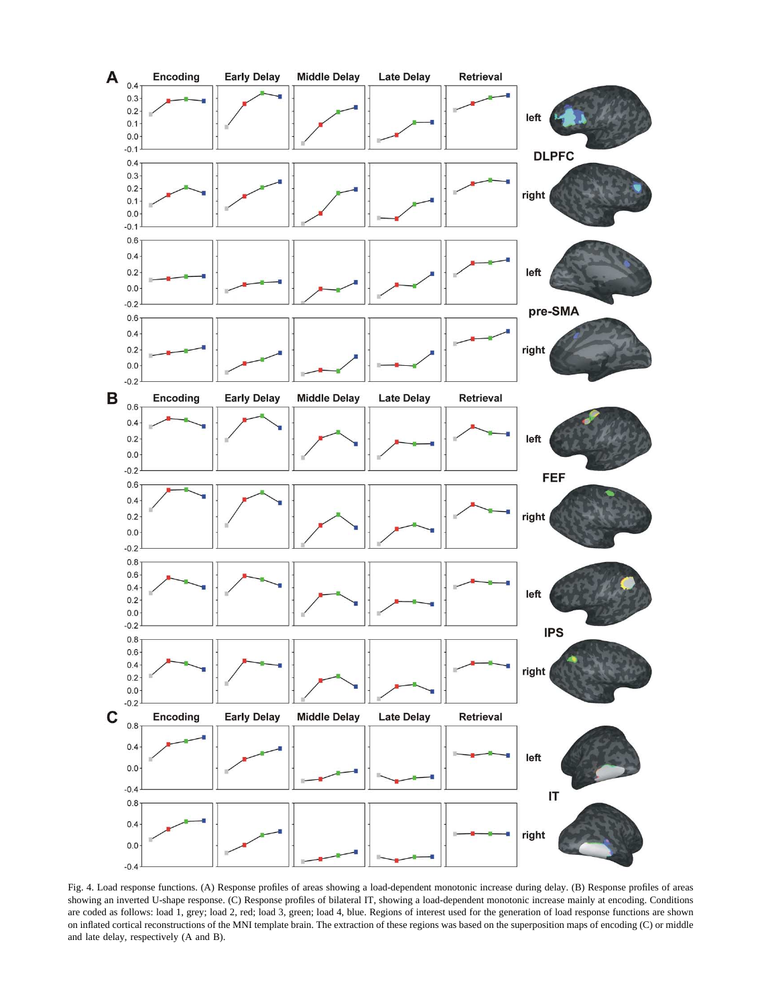<span id="page-7-0"></span>

Fig. 4. Load response functions. (A) Response profiles of areas showing a load-dependent monotonic increase during delay. (B) Response profiles of areas showing an inverted U-shape response. (C) Response profiles of bilateral IT, showing a load-dependent monotonic increase mainly at encoding. Conditions are coded as follows: load 1, grey; load 2, red; load 3, green; load 4, blue. Regions of interest used for the generation of load response functions are shown on inflated cortical reconstructions of the MNI template brain. The extraction of these regions was based on the superposition maps of encoding (C) or middle and late delay, respectively (A and B).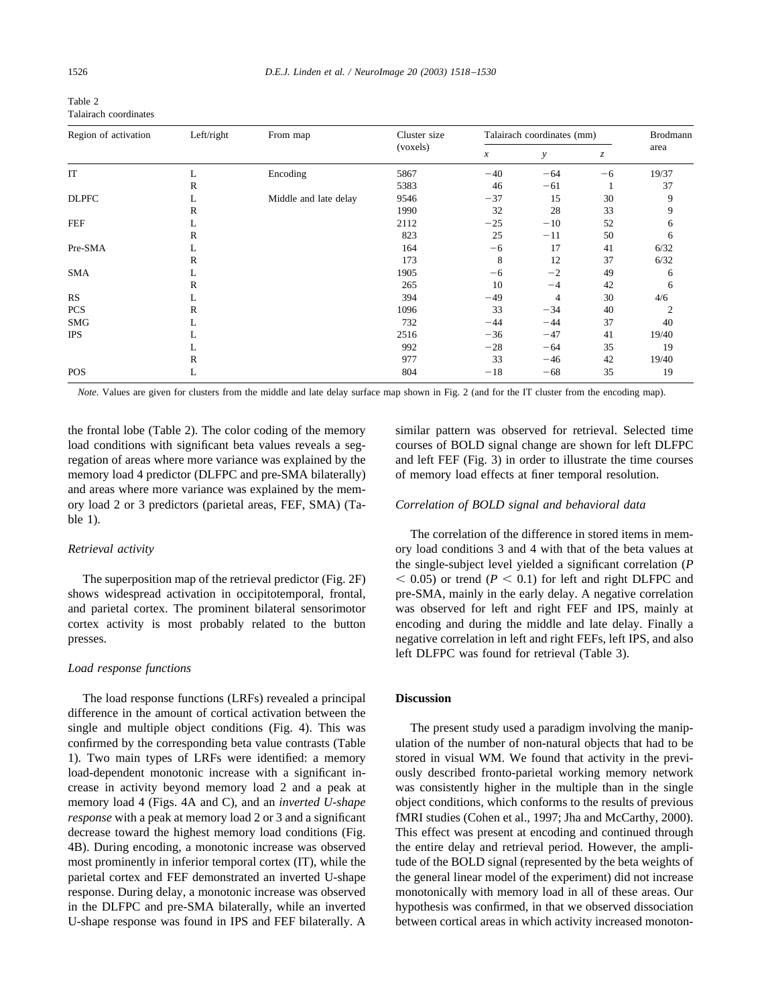| ٦<br>٧<br>× | ٦<br>۰,<br>M. |  |
|-------------|---------------|--|
|             |               |  |

| Table 2 |                       |
|---------|-----------------------|
|         | Talairach coordinates |

| Region of activation | Left/right   | From map              | Cluster size<br>(voxels) | Talairach coordinates (mm) |       |      | Brodmann |
|----------------------|--------------|-----------------------|--------------------------|----------------------------|-------|------|----------|
|                      |              |                       |                          | $\boldsymbol{x}$           | y     | Z.   | area     |
| IT                   | L            | Encoding              | 5867                     | $-40$                      | $-64$ | $-6$ | 19/37    |
|                      | R            |                       | 5383                     | 46                         | $-61$ |      | 37       |
| <b>DLPFC</b>         | L            | Middle and late delay | 9546                     | $-37$                      | 15    | 30   | 9        |
|                      | $\mathbb{R}$ |                       | 1990                     | 32                         | 28    | 33   | 9        |
| <b>FEF</b>           | L            |                       | 2112                     | $-25$                      | $-10$ | 52   | 6        |
|                      | R            |                       | 823                      | 25                         | $-11$ | 50   | 6        |
| Pre-SMA              | L            |                       | 164                      | $-6$                       | 17    | 41   | 6/32     |
|                      | R            |                       | 173                      | 8                          | 12    | 37   | 6/32     |
| <b>SMA</b>           | L            |                       | 1905                     | $-6$                       | $-2$  | 49   | 6        |
|                      | R            |                       | 265                      | 10                         | $-4$  | 42   | 6        |
| RS                   | L            |                       | 394                      | $-49$                      | 4     | 30   | 4/6      |
| <b>PCS</b>           | R            |                       | 1096                     | 33                         | $-34$ | 40   |          |
| <b>SMG</b>           |              |                       | 732                      | $-44$                      | $-44$ | 37   | 40       |
| <b>IPS</b>           |              |                       | 2516                     | $-36$                      | $-47$ | 41   | 19/40    |
|                      | L            |                       | 992                      | $-28$                      | $-64$ | 35   | 19       |
|                      | R            |                       | 977                      | 33                         | $-46$ | 42   | 19/40    |
| POS                  | L            |                       | 804                      | $-18$                      | $-68$ | 35   | 19       |

*Note.* Values are given for clusters from the middle and late delay surface map shown in [Fig. 2](#page-2-0) (and for the IT cluster from the encoding map).

the frontal lobe (Table 2). The color coding of the memory load conditions with significant beta values reveals a segregation of areas where more variance was explained by the memory load 4 predictor (DLFPC and pre-SMA bilaterally) and areas where more variance was explained by the memory load 2 or 3 predictors (parietal areas, FEF, SMA) [\(Ta](#page-6-0)[ble 1\)](#page-6-0).

## *Retrieval activity*

The superposition map of the retrieval predictor [\(Fig. 2F\)](#page-2-0) shows widespread activation in occipitotemporal, frontal, and parietal cortex. The prominent bilateral sensorimotor cortex activity is most probably related to the button presses.

#### *Load response functions*

The load response functions (LRFs) revealed a principal difference in the amount of cortical activation between the single and multiple object conditions [\(Fig. 4\)](#page-7-0). This was confirmed by the corresponding beta value contrasts [\(Table](#page-6-0) [1\)](#page-6-0). Two main types of LRFs were identified: a memory load-dependent monotonic increase with a significant increase in activity beyond memory load 2 and a peak at memory load 4 [\(Figs. 4A and C\)](#page-7-0), and an *inverted U-shape response* with a peak at memory load 2 or 3 and a significant decrease toward the highest memory load conditions [\(Fig.](#page-7-0) [4B\)](#page-7-0). During encoding, a monotonic increase was observed most prominently in inferior temporal cortex (IT), while the parietal cortex and FEF demonstrated an inverted U-shape response. During delay, a monotonic increase was observed in the DLFPC and pre-SMA bilaterally, while an inverted U-shape response was found in IPS and FEF bilaterally. A

similar pattern was observed for retrieval. Selected time courses of BOLD signal change are shown for left DLFPC and left FEF [\(Fig. 3\)](#page-4-0) in order to illustrate the time courses of memory load effects at finer temporal resolution.

#### *Correlation of BOLD signal and behavioral data*

The correlation of the difference in stored items in memory load conditions 3 and 4 with that of the beta values at the single-subject level yielded a significant correlation (*P*  $0.05$  or trend ( $P < 0.1$ ) for left and right DLFPC and pre-SMA, mainly in the early delay. A negative correlation was observed for left and right FEF and IPS, mainly at encoding and during the middle and late delay. Finally a negative correlation in left and right FEFs, left IPS, and also left DLFPC was found for retrieval [\(Table 3\)](#page-9-0).

# **Discussion**

The present study used a paradigm involving the manipulation of the number of non-natural objects that had to be stored in visual WM. We found that activity in the previously described fronto-parietal working memory network was consistently higher in the multiple than in the single object conditions, which conforms to the results of previous fMRI studies [\(Cohen et al., 1997; Jha and McCarthy, 2000\).](#page-11-0) This effect was present at encoding and continued through the entire delay and retrieval period. However, the amplitude of the BOLD signal (represented by the beta weights of the general linear model of the experiment) did not increase monotonically with memory load in all of these areas. Our hypothesis was confirmed, in that we observed dissociation between cortical areas in which activity increased monoton-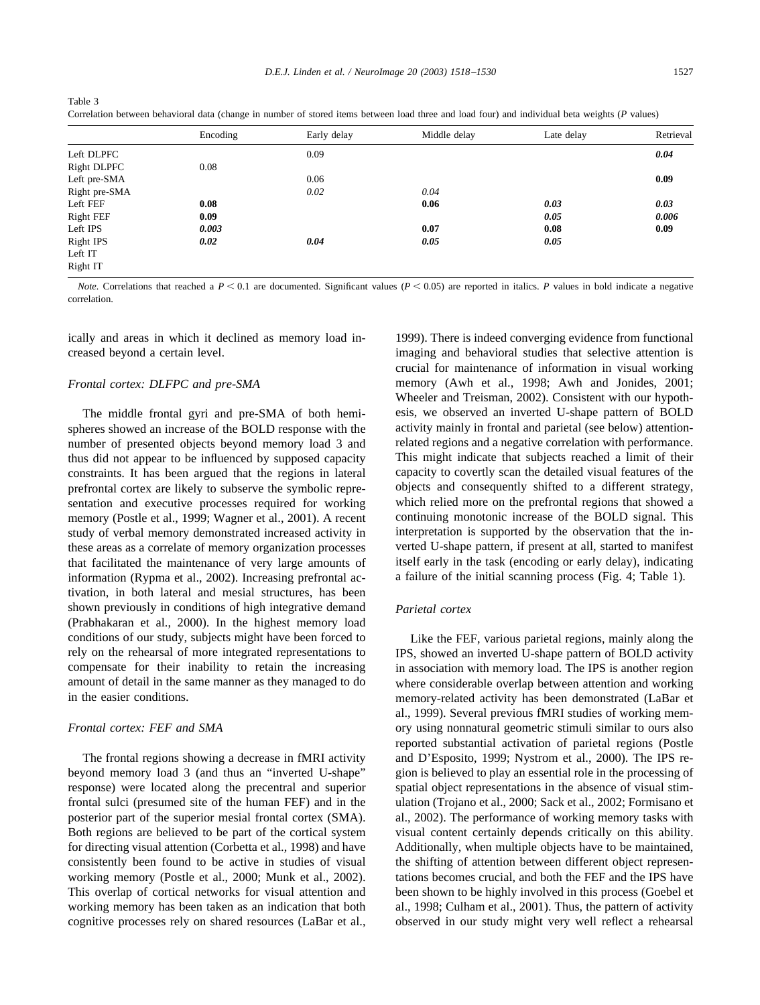<span id="page-9-0"></span>

| Table 3                                                                                                                                        |  |
|------------------------------------------------------------------------------------------------------------------------------------------------|--|
| Correlation between behavioral data (change in number of stored items between load three and load four) and individual beta weights (P values) |  |

|                  | Encoding | Early delay | Middle delay | Late delay | Retrieval |
|------------------|----------|-------------|--------------|------------|-----------|
| Left DLPFC       |          | 0.09        |              |            | 0.04      |
| Right DLPFC      | 0.08     |             |              |            |           |
| Left pre-SMA     |          | 0.06        |              |            | 0.09      |
| Right pre-SMA    |          | 0.02        | 0.04         |            |           |
| Left FEF         | 0.08     |             | 0.06         | 0.03       | 0.03      |
| <b>Right FEF</b> | 0.09     |             |              | 0.05       | 0.006     |
| Left IPS         | 0.003    |             | 0.07         | 0.08       | 0.09      |
| Right IPS        | 0.02     | 0.04        | 0.05         | 0.05       |           |
| Left IT          |          |             |              |            |           |
| Right IT         |          |             |              |            |           |

*Note.* Correlations that reached a  $P < 0.1$  are documented. Significant values ( $P < 0.05$ ) are reported in italics. *P* values in bold indicate a negative correlation.

ically and areas in which it declined as memory load increased beyond a certain level.

#### *Frontal cortex: DLFPC and pre-SMA*

The middle frontal gyri and pre-SMA of both hemispheres showed an increase of the BOLD response with the number of presented objects beyond memory load 3 and thus did not appear to be influenced by supposed capacity constraints. It has been argued that the regions in lateral prefrontal cortex are likely to subserve the symbolic representation and executive processes required for working memory [\(Postle et al., 1999; Wagner et al., 2001\).](#page-11-0) A recent study of verbal memory demonstrated increased activity in these areas as a correlate of memory organization processes that facilitated the maintenance of very large amounts of information [\(Rypma et al., 2002\).](#page-11-0) Increasing prefrontal activation, in both lateral and mesial structures, has been shown previously in conditions of high integrative demand [\(Prabhakaran et al., 2000\).](#page-11-0) In the highest memory load conditions of our study, subjects might have been forced to rely on the rehearsal of more integrated representations to compensate for their inability to retain the increasing amount of detail in the same manner as they managed to do in the easier conditions.

#### *Frontal cortex: FEF and SMA*

The frontal regions showing a decrease in fMRI activity beyond memory load 3 (and thus an "inverted U-shape" response) were located along the precentral and superior frontal sulci (presumed site of the human FEF) and in the posterior part of the superior mesial frontal cortex (SMA). Both regions are believed to be part of the cortical system for directing visual attention [\(Corbetta et al., 1998\)](#page-11-0) and have consistently been found to be active in studies of visual working memory [\(Postle et al., 2000; Munk et al., 2002\).](#page-11-0) This overlap of cortical networks for visual attention and working memory has been taken as an indication that both cognitive processes rely on shared resources [\(LaBar et al.,](#page-11-0) [1999\).](#page-11-0) There is indeed converging evidence from functional imaging and behavioral studies that selective attention is crucial for maintenance of information in visual working memory [\(Awh et al., 1998; Awh and Jonides, 2001;](#page-10-0) [Wheeler and Treisman, 2002\).](#page-10-0) Consistent with our hypothesis, we observed an inverted U-shape pattern of BOLD activity mainly in frontal and parietal (see below) attentionrelated regions and a negative correlation with performance. This might indicate that subjects reached a limit of their capacity to covertly scan the detailed visual features of the objects and consequently shifted to a different strategy, which relied more on the prefrontal regions that showed a continuing monotonic increase of the BOLD signal. This interpretation is supported by the observation that the inverted U-shape pattern, if present at all, started to manifest itself early in the task (encoding or early delay), indicating a failure of the initial scanning process [\(Fig. 4;](#page-7-0) [Table 1\)](#page-6-0).

## *Parietal cortex*

Like the FEF, various parietal regions, mainly along the IPS, showed an inverted U-shape pattern of BOLD activity in association with memory load. The IPS is another region where considerable overlap between attention and working memory-related activity has been demonstrated [\(LaBar et](#page-11-0) [al., 1999\).](#page-11-0) Several previous fMRI studies of working memory using nonnatural geometric stimuli similar to ours also reported substantial activation of parietal regions [\(Postle](#page-11-0) [and D'Esposito, 1999; Nystrom et al., 2000\).](#page-11-0) The IPS region is believed to play an essential role in the processing of spatial object representations in the absence of visual stimulation [\(Trojano et al., 2000; Sack et al., 2002; Formisano et](#page-12-0) [al., 2002\).](#page-12-0) The performance of working memory tasks with visual content certainly depends critically on this ability. Additionally, when multiple objects have to be maintained, the shifting of attention between different object representations becomes crucial, and both the FEF and the IPS have been shown to be highly involved in this process [\(Goebel et](#page-11-0) [al., 1998; Culham et al., 2001\).](#page-11-0) Thus, the pattern of activity observed in our study might very well reflect a rehearsal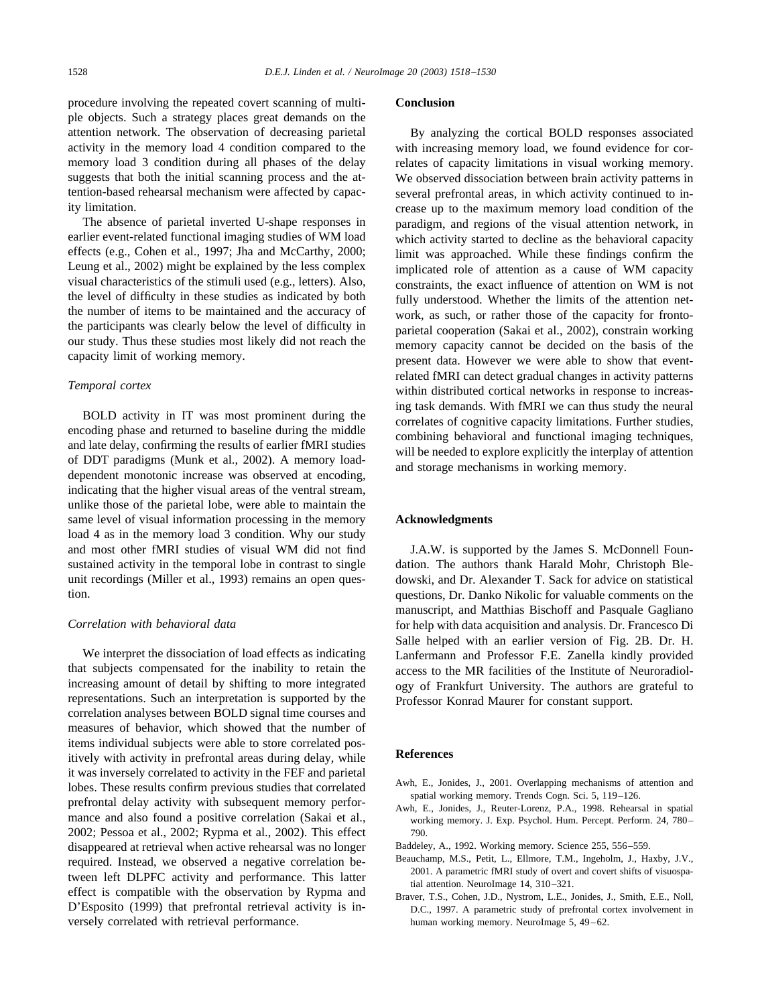<span id="page-10-0"></span>procedure involving the repeated covert scanning of multiple objects. Such a strategy places great demands on the attention network. The observation of decreasing parietal activity in the memory load 4 condition compared to the memory load 3 condition during all phases of the delay suggests that both the initial scanning process and the attention-based rehearsal mechanism were affected by capacity limitation.

The absence of parietal inverted U-shape responses in earlier event-related functional imaging studies of WM load effects (e.g., [Cohen et al., 1997; Jha and McCarthy, 2000;](#page-11-0) [Leung et al., 2002\)](#page-11-0) might be explained by the less complex visual characteristics of the stimuli used (e.g., letters). Also, the level of difficulty in these studies as indicated by both the number of items to be maintained and the accuracy of the participants was clearly below the level of difficulty in our study. Thus these studies most likely did not reach the capacity limit of working memory.

# *Temporal cortex*

BOLD activity in IT was most prominent during the encoding phase and returned to baseline during the middle and late delay, confirming the results of earlier fMRI studies of DDT paradigms [\(Munk et al., 2002\).](#page-11-0) A memory loaddependent monotonic increase was observed at encoding, indicating that the higher visual areas of the ventral stream, unlike those of the parietal lobe, were able to maintain the same level of visual information processing in the memory load 4 as in the memory load 3 condition. Why our study and most other fMRI studies of visual WM did not find sustained activity in the temporal lobe in contrast to single unit recordings [\(Miller et al., 1993\)](#page-11-0) remains an open question.

#### *Correlation with behavioral data*

We interpret the dissociation of load effects as indicating that subjects compensated for the inability to retain the increasing amount of detail by shifting to more integrated representations. Such an interpretation is supported by the correlation analyses between BOLD signal time courses and measures of behavior, which showed that the number of items individual subjects were able to store correlated positively with activity in prefrontal areas during delay, while it was inversely correlated to activity in the FEF and parietal lobes. These results confirm previous studies that correlated prefrontal delay activity with subsequent memory performance and also found a positive correlation [\(Sakai et al.,](#page-12-0) [2002; Pessoa et al., 2002; Rypma et al., 2002\).](#page-12-0) This effect disappeared at retrieval when active rehearsal was no longer required. Instead, we observed a negative correlation between left DLPFC activity and performance. This latter effect is compatible with the observation by [Rypma and](#page-11-0) [D'Esposito \(1999\)](#page-11-0) that prefrontal retrieval activity is inversely correlated with retrieval performance.

# **Conclusion**

By analyzing the cortical BOLD responses associated with increasing memory load, we found evidence for correlates of capacity limitations in visual working memory. We observed dissociation between brain activity patterns in several prefrontal areas, in which activity continued to increase up to the maximum memory load condition of the paradigm, and regions of the visual attention network, in which activity started to decline as the behavioral capacity limit was approached. While these findings confirm the implicated role of attention as a cause of WM capacity constraints, the exact influence of attention on WM is not fully understood. Whether the limits of the attention network, as such, or rather those of the capacity for frontoparietal cooperation [\(Sakai et al., 2002\),](#page-12-0) constrain working memory capacity cannot be decided on the basis of the present data. However we were able to show that eventrelated fMRI can detect gradual changes in activity patterns within distributed cortical networks in response to increasing task demands. With fMRI we can thus study the neural correlates of cognitive capacity limitations. Further studies, combining behavioral and functional imaging techniques, will be needed to explore explicitly the interplay of attention and storage mechanisms in working memory.

# **Acknowledgments**

J.A.W. is supported by the James S. McDonnell Foundation. The authors thank Harald Mohr, Christoph Bledowski, and Dr. Alexander T. Sack for advice on statistical questions, Dr. Danko Nikolic for valuable comments on the manuscript, and Matthias Bischoff and Pasquale Gagliano for help with data acquisition and analysis. Dr. Francesco Di Salle helped with an earlier version of [Fig. 2B.](#page-2-0) Dr. H. Lanfermann and Professor F.E. Zanella kindly provided access to the MR facilities of the Institute of Neuroradiology of Frankfurt University. The authors are grateful to Professor Konrad Maurer for constant support.

# **References**

- Awh, E., Jonides, J., 2001. Overlapping mechanisms of attention and spatial working memory. Trends Cogn. Sci. 5, 119–126.
- Awh, E., Jonides, J., Reuter-Lorenz, P.A., 1998. Rehearsal in spatial working memory. J. Exp. Psychol. Hum. Percept. Perform. 24, 780– 790.
- Baddeley, A., 1992. Working memory. Science 255, 556–559.
- Beauchamp, M.S., Petit, L., Ellmore, T.M., Ingeholm, J., Haxby, J.V., 2001. A parametric fMRI study of overt and covert shifts of visuospatial attention. NeuroImage 14, 310–321.
- Braver, T.S., Cohen, J.D., Nystrom, L.E., Jonides, J., Smith, E.E., Noll, D.C., 1997. A parametric study of prefrontal cortex involvement in human working memory. NeuroImage 5, 49–62.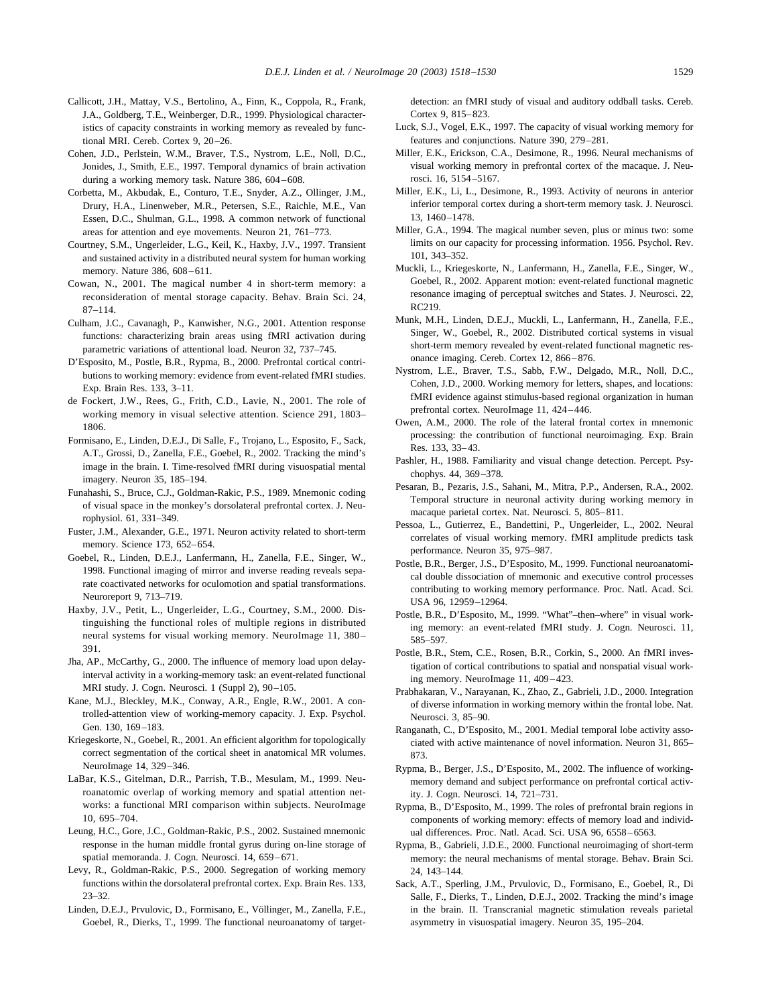- <span id="page-11-0"></span>Callicott, J.H., Mattay, V.S., Bertolino, A., Finn, K., Coppola, R., Frank, J.A., Goldberg, T.E., Weinberger, D.R., 1999. Physiological characteristics of capacity constraints in working memory as revealed by functional MRI. Cereb. Cortex 9, 20–26.
- Cohen, J.D., Perlstein, W.M., Braver, T.S., Nystrom, L.E., Noll, D.C., Jonides, J., Smith, E.E., 1997. Temporal dynamics of brain activation during a working memory task. Nature 386, 604–608.
- Corbetta, M., Akbudak, E., Conturo, T.E., Snyder, A.Z., Ollinger, J.M., Drury, H.A., Linenweber, M.R., Petersen, S.E., Raichle, M.E., Van Essen, D.C., Shulman, G.L., 1998. A common network of functional areas for attention and eye movements. Neuron 21, 761–773.
- Courtney, S.M., Ungerleider, L.G., Keil, K., Haxby, J.V., 1997. Transient and sustained activity in a distributed neural system for human working memory. Nature 386, 608–611.
- Cowan, N., 2001. The magical number 4 in short-term memory: a reconsideration of mental storage capacity. Behav. Brain Sci. 24, 87–114.
- Culham, J.C., Cavanagh, P., Kanwisher, N.G., 2001. Attention response functions: characterizing brain areas using fMRI activation during parametric variations of attentional load. Neuron 32, 737–745.
- D'Esposito, M., Postle, B.R., Rypma, B., 2000. Prefrontal cortical contributions to working memory: evidence from event-related fMRI studies. Exp. Brain Res. 133, 3–11.
- de Fockert, J.W., Rees, G., Frith, C.D., Lavie, N., 2001. The role of working memory in visual selective attention. Science 291, 1803– 1806.
- Formisano, E., Linden, D.E.J., Di Salle, F., Trojano, L., Esposito, F., Sack, A.T., Grossi, D., Zanella, F.E., Goebel, R., 2002. Tracking the mind's image in the brain. I. Time-resolved fMRI during visuospatial mental imagery. Neuron 35, 185–194.
- Funahashi, S., Bruce, C.J., Goldman-Rakic, P.S., 1989. Mnemonic coding of visual space in the monkey's dorsolateral prefrontal cortex. J. Neurophysiol. 61, 331–349.
- Fuster, J.M., Alexander, G.E., 1971. Neuron activity related to short-term memory. Science 173, 652–654.
- Goebel, R., Linden, D.E.J., Lanfermann, H., Zanella, F.E., Singer, W., 1998. Functional imaging of mirror and inverse reading reveals separate coactivated networks for oculomotion and spatial transformations. Neuroreport 9, 713–719.
- Haxby, J.V., Petit, L., Ungerleider, L.G., Courtney, S.M., 2000. Distinguishing the functional roles of multiple regions in distributed neural systems for visual working memory. NeuroImage 11, 380 – 391.
- Jha, AP., McCarthy, G., 2000. The influence of memory load upon delayinterval activity in a working-memory task: an event-related functional MRI study. J. Cogn. Neurosci. 1 (Suppl 2), 90–105.
- Kane, M.J., Bleckley, M.K., Conway, A.R., Engle, R.W., 2001. A controlled-attention view of working-memory capacity. J. Exp. Psychol. Gen. 130, 169–183.
- Kriegeskorte, N., Goebel, R., 2001. An efficient algorithm for topologically correct segmentation of the cortical sheet in anatomical MR volumes. NeuroImage 14, 329–346.
- LaBar, K.S., Gitelman, D.R., Parrish, T.B., Mesulam, M., 1999. Neuroanatomic overlap of working memory and spatial attention networks: a functional MRI comparison within subjects. NeuroImage 10, 695–704.
- Leung, H.C., Gore, J.C., Goldman-Rakic, P.S., 2002. Sustained mnemonic response in the human middle frontal gyrus during on-line storage of spatial memoranda. J. Cogn. Neurosci. 14, 659–671.
- Levy, R., Goldman-Rakic, P.S., 2000. Segregation of working memory functions within the dorsolateral prefrontal cortex. Exp. Brain Res. 133, 23–32.
- Linden, D.E.J., Prvulovic, D., Formisano, E., Völlinger, M., Zanella, F.E., Goebel, R., Dierks, T., 1999. The functional neuroanatomy of target-

detection: an fMRI study of visual and auditory oddball tasks. Cereb. Cortex 9, 815–823.

- Luck, S.J., Vogel, E.K., 1997. The capacity of visual working memory for features and conjunctions. Nature 390, 279–281.
- Miller, E.K., Erickson, C.A., Desimone, R., 1996. Neural mechanisms of visual working memory in prefrontal cortex of the macaque. J. Neurosci. 16, 5154–5167.
- Miller, E.K., Li, L., Desimone, R., 1993. Activity of neurons in anterior inferior temporal cortex during a short-term memory task. J. Neurosci. 13, 1460–1478.
- Miller, G.A., 1994. The magical number seven, plus or minus two: some limits on our capacity for processing information. 1956. Psychol. Rev. 101, 343–352.
- Muckli, L., Kriegeskorte, N., Lanfermann, H., Zanella, F.E., Singer, W., Goebel, R., 2002. Apparent motion: event-related functional magnetic resonance imaging of perceptual switches and States. J. Neurosci. 22, RC219.
- Munk, M.H., Linden, D.E.J., Muckli, L., Lanfermann, H., Zanella, F.E., Singer, W., Goebel, R., 2002. Distributed cortical systems in visual short-term memory revealed by event-related functional magnetic resonance imaging. Cereb. Cortex 12, 866–876.
- Nystrom, L.E., Braver, T.S., Sabb, F.W., Delgado, M.R., Noll, D.C., Cohen, J.D., 2000. Working memory for letters, shapes, and locations: fMRI evidence against stimulus-based regional organization in human prefrontal cortex. NeuroImage 11, 424–446.
- Owen, A.M., 2000. The role of the lateral frontal cortex in mnemonic processing: the contribution of functional neuroimaging. Exp. Brain Res. 133, 33–43.
- Pashler, H., 1988. Familiarity and visual change detection. Percept. Psychophys. 44, 369–378.
- Pesaran, B., Pezaris, J.S., Sahani, M., Mitra, P.P., Andersen, R.A., 2002. Temporal structure in neuronal activity during working memory in macaque parietal cortex. Nat. Neurosci. 5, 805–811.
- Pessoa, L., Gutierrez, E., Bandettini, P., Ungerleider, L., 2002. Neural correlates of visual working memory. fMRI amplitude predicts task performance. Neuron 35, 975–987.
- Postle, B.R., Berger, J.S., D'Esposito, M., 1999. Functional neuroanatomical double dissociation of mnemonic and executive control processes contributing to working memory performance. Proc. Natl. Acad. Sci. USA 96, 12959–12964.
- Postle, B.R., D'Esposito, M., 1999. "What"–then–where" in visual working memory: an event-related fMRI study. J. Cogn. Neurosci. 11, 585–597.
- Postle, B.R., Stem, C.E., Rosen, B.R., Corkin, S., 2000. An fMRI investigation of cortical contributions to spatial and nonspatial visual working memory. NeuroImage 11, 409–423.
- Prabhakaran, V., Narayanan, K., Zhao, Z., Gabrieli, J.D., 2000. Integration of diverse information in working memory within the frontal lobe. Nat. Neurosci. 3, 85–90.
- Ranganath, C., D'Esposito, M., 2001. Medial temporal lobe activity associated with active maintenance of novel information. Neuron 31, 865– 873.
- Rypma, B., Berger, J.S., D'Esposito, M., 2002. The influence of workingmemory demand and subject performance on prefrontal cortical activity. J. Cogn. Neurosci. 14, 721–731.
- Rypma, B., D'Esposito, M., 1999. The roles of prefrontal brain regions in components of working memory: effects of memory load and individual differences. Proc. Natl. Acad. Sci. USA 96, 6558–6563.
- Rypma, B., Gabrieli, J.D.E., 2000. Functional neuroimaging of short-term memory: the neural mechanisms of mental storage. Behav. Brain Sci. 24, 143–144.
- Sack, A.T., Sperling, J.M., Prvulovic, D., Formisano, E., Goebel, R., Di Salle, F., Dierks, T., Linden, D.E.J., 2002. Tracking the mind's image in the brain. II. Transcranial magnetic stimulation reveals parietal asymmetry in visuospatial imagery. Neuron 35, 195–204.